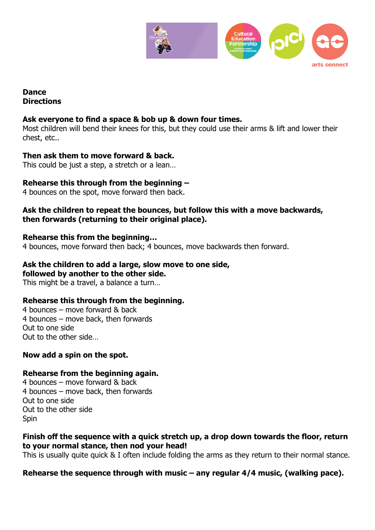

### **Dance Directions**

### **Ask everyone to find a space & bob up & down four times.**

Most children will bend their knees for this, but they could use their arms & lift and lower their chest, etc..

### **Then ask them to move forward & back.**

This could be just a step, a stretch or a lean…

## **Rehearse this through from the beginning –**

4 bounces on the spot, move forward then back.

#### **Ask the children to repeat the bounces, but follow this with a move backwards, then forwards (returning to their original place).**

#### **Rehearse this from the beginning…**

4 bounces, move forward then back; 4 bounces, move backwards then forward.

### **Ask the children to add a large, slow move to one side,**

**followed by another to the other side.**

This might be a travel, a balance a turn…

#### **Rehearse this through from the beginning.**

4 bounces – move forward & back 4 bounces – move back, then forwards Out to one side Out to the other side…

## **Now add a spin on the spot.**

#### **Rehearse from the beginning again.**

4 bounces – move forward & back 4 bounces – move back, then forwards Out to one side Out to the other side **Spin** 

#### **Finish off the sequence with a quick stretch up, a drop down towards the floor, return to your normal stance, then nod your head!**

This is usually quite quick & I often include folding the arms as they return to their normal stance.

## **Rehearse the sequence through with music – any regular 4/4 music, (walking pace).**